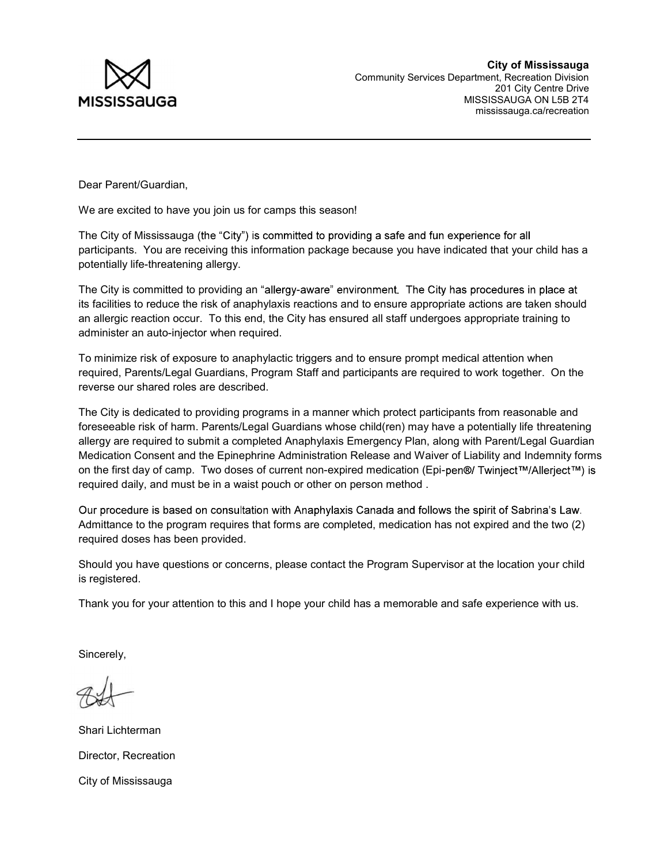

Dear Parent/Guardian,

We are excited to have you join us for camps this season!

The City of Mississauga (the "City") is committed to providing a safe and fun experience for all participants. You are receiving this information package because you have indicated that your child has a potentially life-threatening allergy.

The City is committed to providing an "allergy-aware" environment. The City has procedures in place at its facilities to reduce the risk of anaphylaxis reactions and to ensure appropriate actions are taken should an allergic reaction occur. To this end, the City has ensured all staff undergoes appropriate training to administer an auto-injector when required.

To minimize risk of exposure to anaphylactic triggers and to ensure prompt medical attention when required, Parents/Legal Guardians, Program Staff and participants are required to work together. On the reverse our shared roles are described.

The City is dedicated to providing programs in a manner which protect participants from reasonable and foreseeable risk of harm. Parents/Legal Guardians whose child(ren) may have a potentially life threatening allergy are required to submit a completed Anaphylaxis Emergency Plan, along with Parent/Legal Guardian Medication Consent and the Epinephrine Administration Release and Waiver of Liability and Indemnity forms on the first day of camp. Two doses of current non-expired medication (Epi-pen®/ Twinject™/Allerject™) is required daily, and must be in a waist pouch or other on person method .

Our procedure is based on consultation with Anaphylaxis Canada and follows the spirit of Sabrina's Law. Admittance to the program requires that forms are completed, medication has not expired and the two (2) required doses has been provided.

Should you have questions or concerns, please contact the Program Supervisor at the location your child is registered.

Thank you for your attention to this and I hope your child has a memorable and safe experience with us.

Sincerely,

Shari Lichterman Director, Recreation City of Mississauga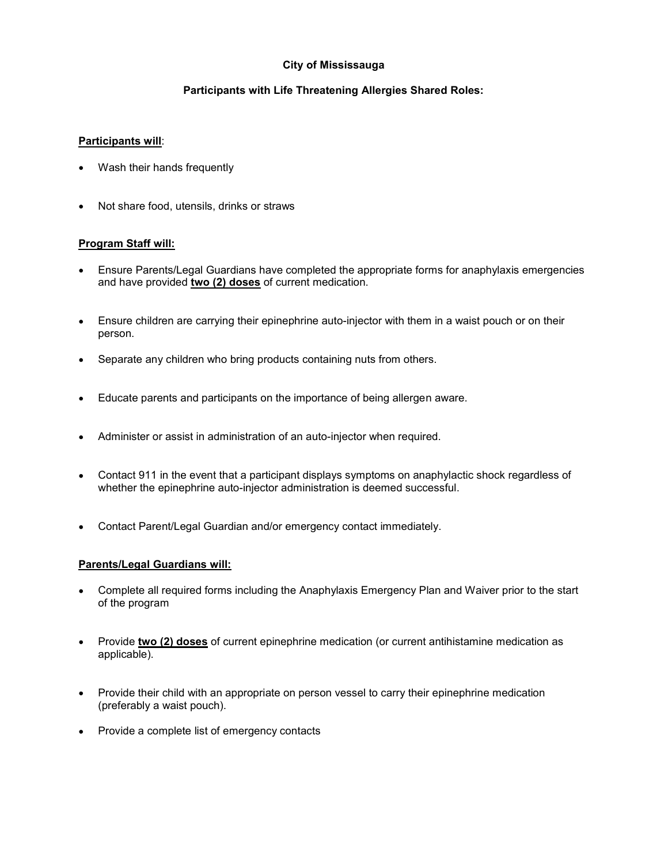## City of Mississauga

## Participants with Life Threatening Allergies Shared Roles:

## Participants will:

- Wash their hands frequently
- Not share food, utensils, drinks or straws

## Program Staff will:

- Ensure Parents/Legal Guardians have completed the appropriate forms for anaphylaxis emergencies and have provided two (2) doses of current medication.
- Ensure children are carrying their epinephrine auto-injector with them in a waist pouch or on their person.
- Separate any children who bring products containing nuts from others.
- Educate parents and participants on the importance of being allergen aware.
- Administer or assist in administration of an auto-injector when required.
- Contact 911 in the event that a participant displays symptoms on anaphylactic shock regardless of whether the epinephrine auto-injector administration is deemed successful.
- Contact Parent/Legal Guardian and/or emergency contact immediately.

## Parents/Legal Guardians will:

- Complete all required forms including the Anaphylaxis Emergency Plan and Waiver prior to the start of the program
- Provide two (2) doses of current epinephrine medication (or current antihistamine medication as applicable).
- Provide their child with an appropriate on person vessel to carry their epinephrine medication (preferably a waist pouch).
- Provide a complete list of emergency contacts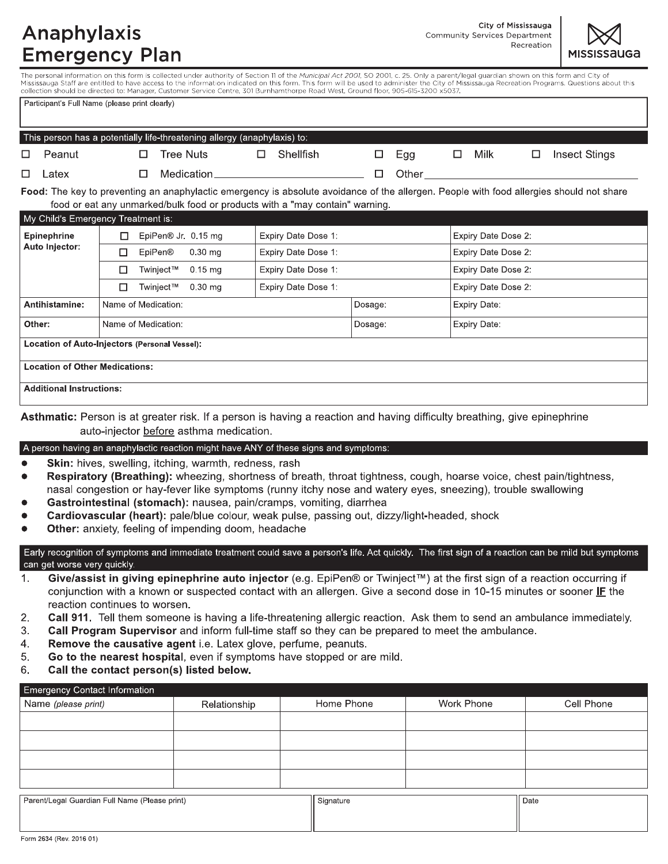## Anaphylaxis **Emergency Plan**

City of Mississauga **Community Services Department** Recreation



The personal information on this form is collected under authority of Section 11 of the Municipal Act 2001, SO 2001, c. 25. Only a parent/legal guardian shown on this form and City of Mississauga Staff are entitled to have access to the information indicated on this form. This form will be used to administer the City of Mississauga Recreation Programs. Questions about this collection should be directed to: Manager, Customer Service Centre, 301 Burnhamthorpe Road West, Ground floor, 905-615-3200 x5037

|                                               | Participant's Full Name (please print clearly)                           |                                  |   |                                                                                                                                          |                     |                     |              |                     |                     |                     |   |                      |  |
|-----------------------------------------------|--------------------------------------------------------------------------|----------------------------------|---|------------------------------------------------------------------------------------------------------------------------------------------|---------------------|---------------------|--------------|---------------------|---------------------|---------------------|---|----------------------|--|
|                                               | This person has a potentially life-threatening allergy (anaphylaxis) to: |                                  |   |                                                                                                                                          |                     |                     |              |                     |                     |                     |   |                      |  |
| □                                             | Peanut                                                                   |                                  | □ | <b>Tree Nuts</b>                                                                                                                         | □                   | <b>Shellfish</b>    | □            | Egg                 | □                   | Milk                | □ | <b>Insect Stings</b> |  |
| □                                             | Latex                                                                    |                                  | □ | Medication_                                                                                                                              |                     |                     | □            | Other               |                     |                     |   |                      |  |
|                                               |                                                                          |                                  |   | Food: The key to preventing an anaphylactic emergency is absolute avoidance of the allergen. People with food allergies should not share |                     |                     |              |                     |                     |                     |   |                      |  |
|                                               |                                                                          |                                  |   | food or eat any unmarked/bulk food or products with a "may contain" warning.                                                             |                     |                     |              |                     |                     |                     |   |                      |  |
|                                               | My Child's Emergency Treatment is:                                       |                                  |   |                                                                                                                                          |                     |                     |              |                     |                     |                     |   |                      |  |
| <b>Epinephrine</b>                            |                                                                          |                                  |   | EpiPen® Jr 0.15 mg                                                                                                                       | Expiry Date Dose 1: |                     |              |                     | Expiry Date Dose 2: |                     |   |                      |  |
|                                               | Auto Injector:                                                           | <b>EpiPen®</b><br>$0.30$ mg<br>□ |   |                                                                                                                                          |                     | Expiry Date Dose 1: |              |                     |                     | Expiry Date Dose 2: |   |                      |  |
|                                               | Expiry Date Dose 1:<br>$0.15$ mg<br>Twinject™<br>□                       |                                  |   |                                                                                                                                          |                     |                     |              | Expiry Date Dose 2: |                     |                     |   |                      |  |
|                                               |                                                                          | п                                |   | Twinject™<br>$0.30$ mg                                                                                                                   |                     | Expiry Date Dose 1: |              |                     | Expiry Date Dose 2: |                     |   |                      |  |
|                                               | Antihistamine:                                                           | Name of Medication:              |   |                                                                                                                                          |                     |                     | Dosage:      |                     | Expiry Date:        |                     |   |                      |  |
| Other:<br>Name of Medication:                 |                                                                          |                                  |   |                                                                                                                                          | Dosage:             |                     | Expiry Date: |                     |                     |                     |   |                      |  |
| Location of Auto-Injectors (Personal Vessel): |                                                                          |                                  |   |                                                                                                                                          |                     |                     |              |                     |                     |                     |   |                      |  |
|                                               | <b>Location of Other Medications:</b>                                    |                                  |   |                                                                                                                                          |                     |                     |              |                     |                     |                     |   |                      |  |
|                                               | <b>Additional Instructions:</b>                                          |                                  |   |                                                                                                                                          |                     |                     |              |                     |                     |                     |   |                      |  |

Asthmatic: Person is at greater risk. If a person is having a reaction and having difficulty breathing, give epinephrine auto-injector before asthma medication.

#### A person having an anaphylactic reaction might have ANY of these signs and symptoms:

- Skin: hives, swelling, itching, warmth, redness, rash
- Respiratory (Breathing): wheezing, shortness of breath, throat tightness, cough, hoarse voice, chest pain/tightness, nasal congestion or hay-fever like symptoms (runny itchy nose and watery eyes, sneezing), trouble swallowing
- Gastrointestinal (stomach): nausea, pain/cramps, vomiting, diarrhea
- Cardiovascular (heart): pale/blue colour, weak pulse, passing out, dizzy/light-headed, shock
- Other: anxiety, feeling of impending doom, headache

Early recognition of symptoms and immediate treatment could save a person's life. Act quickly. The first sign of a reaction can be mild but symptoms can get worse very quickly.

- Give/assist in giving epinephrine auto injector (e.g. EpiPen® or Twinject<sup>™</sup>) at the first sign of a reaction occurring if  $\mathbf{1}$ . conjunction with a known or suspected contact with an allergen. Give a second dose in 10-15 minutes or sooner IF the reaction continues to worsen.
- $2.$ Call 911. Tell them someone is having a life-threatening allergic reaction. Ask them to send an ambulance immediately.
- 3. Call Program Supervisor and inform full-time staff so they can be prepared to meet the ambulance.
- Remove the causative agent i.e. Latex glove, perfume, peanuts.  $\overline{4}$ .
- Go to the nearest hospital, even if symptoms have stopped or are mild. 5.
- 6. Call the contact person(s) listed below.

| Emergency Contact Information                  |              |            |            |            |
|------------------------------------------------|--------------|------------|------------|------------|
| Name (please print)                            | Relationship | Home Phone | Work Phone | Cell Phone |
|                                                |              |            |            |            |
|                                                |              |            |            |            |
|                                                |              |            |            |            |
|                                                |              |            |            |            |
|                                                |              |            |            |            |
| Parent/Legal Guardian Full Name (Please print) |              | Signature  |            | Date       |
|                                                |              |            |            |            |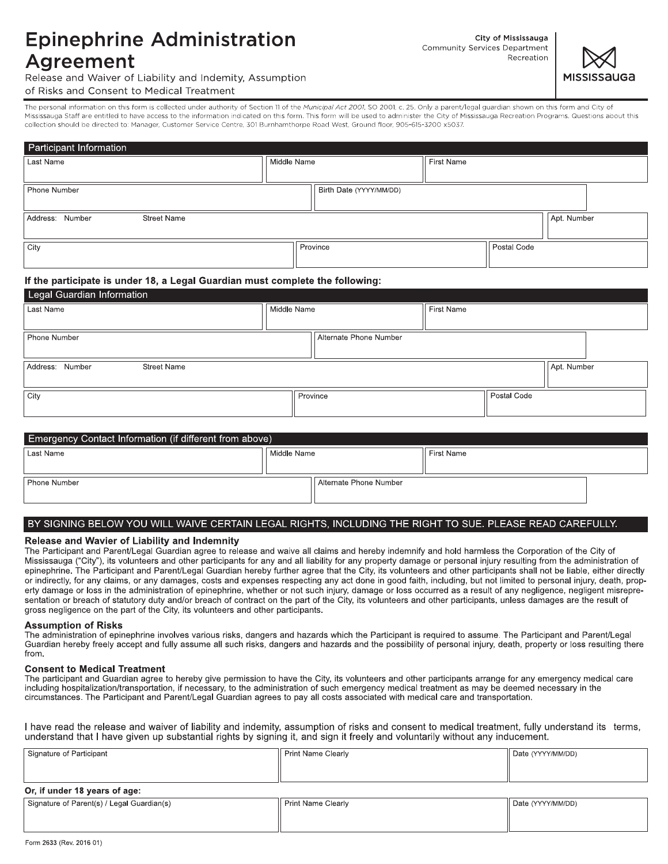## **Epinephrine Administration** Agreement

City of Mississauga Community Services Department Recreation



Release and Waiver of Liability and Indemity, Assumption of Risks and Consent to Medical Treatment

The personal information on this form is collected under authority of Section 11 of the Municipal Act 2001, SO 2001, c. 25. Only a parent/legal guardian shown on this form and City of Mississauga Staff are entitled to have access to the information indicated on this form. This form will be used to administer the City of Mississauga Recreation Programs. Questions about this collection should be directed to: Manager, Customer Service Centre, 301 Burnhamthorpe Road West, Ground floor, 905-615-3200 x5037.

| Participant Information               |                         |             |             |  |  |
|---------------------------------------|-------------------------|-------------|-------------|--|--|
| Last Name                             | Middle Name             | First Name  |             |  |  |
|                                       |                         |             |             |  |  |
| Phone Number                          | Birth Date (YYYY/MM/DD) |             |             |  |  |
| Address: Number<br><b>Street Name</b> |                         |             | Apt. Number |  |  |
| City                                  | Province                | Postal Code |             |  |  |

#### If the participate is under 18, a Legal Guardian must complete the following:

| ∣ ∟egai Guardian Information          |             |                        |            |             |             |  |  |  |  |
|---------------------------------------|-------------|------------------------|------------|-------------|-------------|--|--|--|--|
| Last Name                             | Middle Name |                        | First Name |             |             |  |  |  |  |
|                                       |             |                        |            |             |             |  |  |  |  |
| Phone Number                          |             | Alternate Phone Number |            |             |             |  |  |  |  |
|                                       |             |                        |            |             |             |  |  |  |  |
| Address: Number<br><b>Street Name</b> |             |                        |            |             | Apt. Number |  |  |  |  |
|                                       |             |                        |            |             |             |  |  |  |  |
| City                                  |             | Province               |            | Postal Code |             |  |  |  |  |
|                                       |             |                        |            |             |             |  |  |  |  |
|                                       |             |                        |            |             |             |  |  |  |  |

| Emergency Contact Information (if different from above) |             |                        |  |  |  |  |  |  |
|---------------------------------------------------------|-------------|------------------------|--|--|--|--|--|--|
| Last Name                                               | Middle Name | First Name             |  |  |  |  |  |  |
|                                                         |             |                        |  |  |  |  |  |  |
| Phone Number                                            |             | Alternate Phone Number |  |  |  |  |  |  |
|                                                         |             |                        |  |  |  |  |  |  |

#### BY SIGNING BELOW YOU WILL WAIVE CERTAIN LEGAL RIGHTS, INCLUDING THE RIGHT TO SUE. PLEASE READ CAREFULLY.

#### Release and Wavier of Liability and Indemnity

The Participant and Parent/Legal Guardian agree to release and waive all claims and hereby indemnify and hold harmless the Corporation of the City of Mississauga ("City"), its volunteers and other participants for any and all liability for any property damage or personal injury resulting from the administration of epinephrine. The Participant and Parent/Legal Guardian hereby further agree that the City, its volunteers and other participants shall not be liable, either directly or indirectly, for any claims, or any damages, costs and expenses respecting any act done in good faith, including, but not limited to personal injury, death, property damage or loss in the administration of epinephrine, whether or not such injury, damage or loss occurred as a result of any negligence, negligent misrepresentation or breach of statutory duty and/or breach of contract on the part of the City, its volunteers and other participants, unless damages are the result of gross negligence on the part of the City, its volunteers and other participants.

#### **Assumption of Risks**

The administration of epinephrine involves various risks, dangers and hazards which the Participant is required to assume. The Participant and Parent/Legal Guardian hereby freely accept and fully assume all such risks, dangers and hazards and the possibility of personal injury, death, property or loss resulting there from.

#### **Consent to Medical Treatment**

The participant and Guardian agree to hereby give permission to have the City, its volunteers and other participants arrange for any emergency medical care including hospitalization/transportation, if necessary, to the administration of such emergency medical treatment as may be deemed necessary in the circumstances. The Participant and Parent/Legal Guardian agrees to pay all costs associated with medical care and transportation.

I have read the release and waiver of liability and indemity, assumption of risks and consent to medical treatment, fully understand its terms, understand that I have given up substantial rights by signing it, and sign it freely and voluntarily without any inducement.

| Signature of Participant                   | <b>Print Name Clearly</b> | Date (YYYY/MM/DD) |
|--------------------------------------------|---------------------------|-------------------|
|                                            |                           |                   |
| Or, if under 18 years of age:              |                           |                   |
| Signature of Parent(s) / Legal Guardian(s) | Print Name Clearly        | Date (YYYY/MM/DD) |
|                                            |                           |                   |